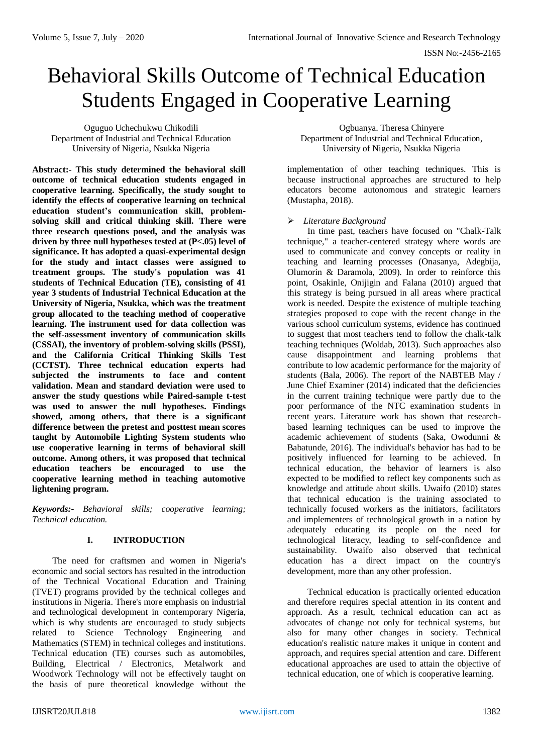# Behavioral Skills Outcome of Technical Education Students Engaged in Cooperative Learning

Oguguo Uchechukwu Chikodili Department of Industrial and Technical Education University of Nigeria, Nsukka Nigeria

**Abstract:- This study determined the behavioral skill outcome of technical education students engaged in cooperative learning. Specifically, the study sought to identify the effects of cooperative learning on technical education student's communication skill, problemsolving skill and critical thinking skill. There were three research questions posed, and the analysis was driven by three null hypotheses tested at (P<.05) level of significance. It has adopted a quasi-experimental design for the study and intact classes were assigned to treatment groups. The study's population was 41 students of Technical Education (TE), consisting of 41 year 3 students of Industrial Technical Education at the University of Nigeria, Nsukka, which was the treatment group allocated to the teaching method of cooperative learning. The instrument used for data collection was the self-assessment inventory of communication skills (CSSAI), the inventory of problem-solving skills (PSSI), and the California Critical Thinking Skills Test (CCTST). Three technical education experts had subjected the instruments to face and content validation. Mean and standard deviation were used to answer the study questions while Paired-sample t-test was used to answer the null hypotheses. Findings showed, among others, that there is a significant difference between the pretest and posttest mean scores taught by Automobile Lighting System students who use cooperative learning in terms of behavioral skill outcome. Among others, it was proposed that technical education teachers be encouraged to use the cooperative learning method in teaching automotive lightening program.**

*Keywords:- Behavioral skills; cooperative learning; Technical education.*

#### **I. INTRODUCTION**

The need for craftsmen and women in Nigeria's economic and social sectors has resulted in the introduction of the Technical Vocational Education and Training (TVET) programs provided by the technical colleges and institutions in Nigeria. There's more emphasis on industrial and technological development in contemporary Nigeria, which is why students are encouraged to study subjects related to Science Technology Engineering and Mathematics (STEM) in technical colleges and institutions. Technical education (TE) courses such as automobiles, Building, Electrical / Electronics, Metalwork and Woodwork Technology will not be effectively taught on the basis of pure theoretical knowledge without the

Ogbuanya. Theresa Chinyere Department of Industrial and Technical Education, University of Nigeria, Nsukka Nigeria

implementation of other teaching techniques. This is because instructional approaches are structured to help educators become autonomous and strategic learners (Mustapha, 2018).

## *Literature Background*

In time past, teachers have focused on "Chalk-Talk technique," a teacher-centered strategy where words are used to communicate and convey concepts or reality in teaching and learning processes (Onasanya, Adegbija, Olumorin & Daramola, 2009). In order to reinforce this point, Osakinle, Onijigin and Falana (2010) argued that this strategy is being pursued in all areas where practical work is needed. Despite the existence of multiple teaching strategies proposed to cope with the recent change in the various school curriculum systems, evidence has continued to suggest that most teachers tend to follow the chalk-talk teaching techniques (Woldab, 2013). Such approaches also cause disappointment and learning problems that contribute to low academic performance for the majority of students (Bala, 2006). The report of the NABTEB May / June Chief Examiner (2014) indicated that the deficiencies in the current training technique were partly due to the poor performance of the NTC examination students in recent years. Literature work has shown that researchbased learning techniques can be used to improve the academic achievement of students (Saka, Owodunni & Babatunde, 2016). The individual's behavior has had to be positively influenced for learning to be achieved. In technical education, the behavior of learners is also expected to be modified to reflect key components such as knowledge and attitude about skills. Uwaifo (2010) states that technical education is the training associated to technically focused workers as the initiators, facilitators and implementers of technological growth in a nation by adequately educating its people on the need for technological literacy, leading to self-confidence and sustainability. Uwaifo also observed that technical education has a direct impact on the country's development, more than any other profession.

Technical education is practically oriented education and therefore requires special attention in its content and approach. As a result, technical education can act as advocates of change not only for technical systems, but also for many other changes in society. Technical education's realistic nature makes it unique in content and approach, and requires special attention and care. Different educational approaches are used to attain the objective of technical education, one of which is cooperative learning.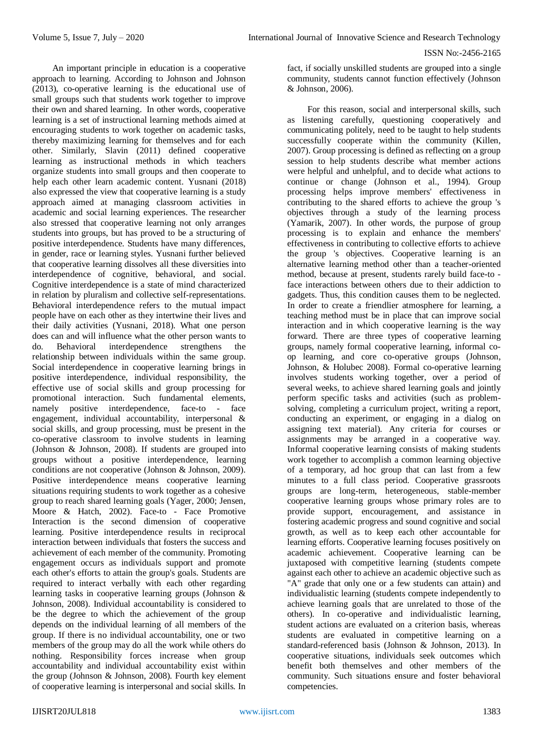An important principle in education is a cooperative approach to learning. According to Johnson and Johnson (2013), co-operative learning is the educational use of small groups such that students work together to improve their own and shared learning. In other words, cooperative learning is a set of instructional learning methods aimed at encouraging students to work together on academic tasks, thereby maximizing learning for themselves and for each other. Similarly, Slavin (2011) defined cooperative learning as instructional methods in which teachers organize students into small groups and then cooperate to help each other learn academic content. Yusnani (2018) also expressed the view that cooperative learning is a study approach aimed at managing classroom activities in academic and social learning experiences. The researcher also stressed that cooperative learning not only arranges students into groups, but has proved to be a structuring of positive interdependence. Students have many differences, in gender, race or learning styles. Yusnani further believed that cooperative learning dissolves all these diversities into interdependence of cognitive, behavioral, and social. Cognitive interdependence is a state of mind characterized in relation by pluralism and collective self-representations. Behavioral interdependence refers to the mutual impact people have on each other as they intertwine their lives and their daily activities (Yusnani, 2018). What one person does can and will influence what the other person wants to do. Behavioral interdependence strengthens the relationship between individuals within the same group. Social interdependence in cooperative learning brings in positive interdependence, individual responsibility, the effective use of social skills and group processing for promotional interaction. Such fundamental elements, namely positive interdependence, face-to - face engagement, individual accountability, interpersonal & social skills, and group processing, must be present in the co-operative classroom to involve students in learning (Johnson & Johnson, 2008). If students are grouped into groups without a positive interdependence, learning conditions are not cooperative (Johnson & Johnson, 2009). Positive interdependence means cooperative learning situations requiring students to work together as a cohesive group to reach shared learning goals (Yager, 2000; Jensen, Moore & Hatch, 2002). Face-to - Face Promotive Interaction is the second dimension of cooperative learning. Positive interdependence results in reciprocal interaction between individuals that fosters the success and achievement of each member of the community. Promoting engagement occurs as individuals support and promote each other's efforts to attain the group's goals. Students are required to interact verbally with each other regarding learning tasks in cooperative learning groups (Johnson & Johnson, 2008). Individual accountability is considered to be the degree to which the achievement of the group depends on the individual learning of all members of the group. If there is no individual accountability, one or two members of the group may do all the work while others do nothing. Responsibility forces increase when group accountability and individual accountability exist within the group (Johnson & Johnson, 2008). Fourth key element of cooperative learning is interpersonal and social skills. In

fact, if socially unskilled students are grouped into a single community, students cannot function effectively (Johnson & Johnson, 2006).

For this reason, social and interpersonal skills, such as listening carefully, questioning cooperatively and communicating politely, need to be taught to help students successfully cooperate within the community (Killen, 2007). Group processing is defined as reflecting on a group session to help students describe what member actions were helpful and unhelpful, and to decide what actions to continue or change (Johnson et al., 1994). Group processing helps improve members' effectiveness in contributing to the shared efforts to achieve the group 's  $objectives$  through a study of the learning process (Yamarik, 2007). In other words, the purpose of group processing is to explain and enhance the members' effectiveness in contributing to collective efforts to achieve the group 's objectives. Cooperative learning is an alternative learning method other than a teacher-oriented method, because at present, students rarely build face-to face interactions between others due to their addiction to gadgets. Thus, this condition causes them to be neglected. In order to create a friendlier atmosphere for learning, a teaching method must be in place that can improve social interaction and in which cooperative learning is the way forward. There are three types of cooperative learning groups, namely formal cooperative learning, informal coop learning, and core co-operative groups (Johnson, Johnson, & Holubec 2008). Formal co-operative learning involves students working together, over a period of several weeks, to achieve shared learning goals and jointly perform specific tasks and activities (such as problemsolving, completing a curriculum project, writing a report, conducting an experiment, or engaging in a dialog on assigning text material). Any criteria for courses or assignments may be arranged in a cooperative way. Informal cooperative learning consists of making students work together to accomplish a common learning objective of a temporary, ad hoc group that can last from a few minutes to a full class period. Cooperative grassroots groups are long-term, heterogeneous, stable-member cooperative learning groups whose primary roles are to provide support, encouragement, and assistance in fostering academic progress and sound cognitive and social growth, as well as to keep each other accountable for learning efforts. Cooperative learning focuses positively on academic achievement. Cooperative learning can be juxtaposed with competitive learning (students compete against each other to achieve an academic objective such as "A" grade that only one or a few students can attain) and individualistic learning (students compete independently to achieve learning goals that are unrelated to those of the others). In co-operative and individualistic learning, student actions are evaluated on a criterion basis, whereas students are evaluated in competitive learning on a standard-referenced basis (Johnson & Johnson, 2013). In cooperative situations, individuals seek outcomes which benefit both themselves and other members of the community. Such situations ensure and foster behavioral competencies.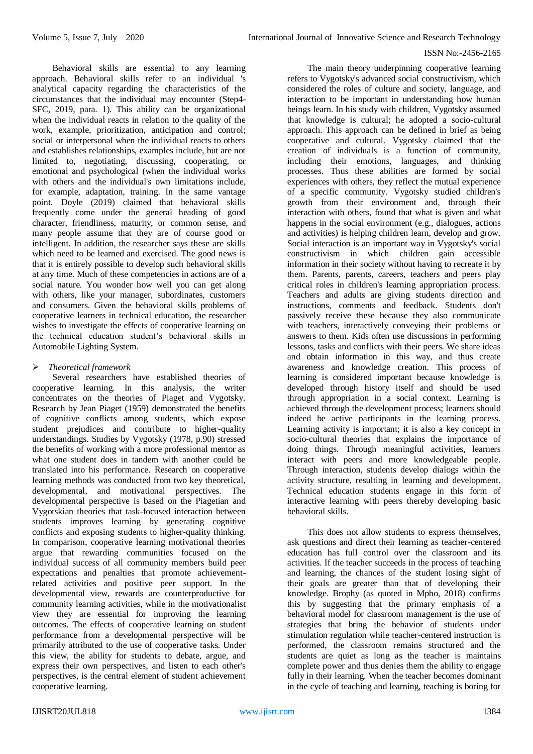Behavioral skills are essential to any learning approach. Behavioral skills refer to an individual 's analytical capacity regarding the characteristics of the circumstances that the individual may encounter (Step4- SFC, 2019, para. 1). This ability can be organizational when the individual reacts in relation to the quality of the work, example, prioritization, anticipation and control; social or interpersonal when the individual reacts to others and establishes relationships, examples include, but are not limited to, negotiating, discussing, cooperating, or emotional and psychological (when the individual works with others and the individual's own limitations include. for example, adaptation, training. In the same vantage point. Doyle (2019) claimed that behavioral skills frequently come under the general heading of good character, friendliness, maturity, or common sense, and many people assume that they are of course good or intelligent. In addition, the researcher says these are skills which need to be learned and exercised. The good news is that it is entirely possible to develop such behavioral skills at any time. Much of these competencies in actions are of a social nature. You wonder how well you can get along with others, like your manager, subordinates, customers and consumers. Given the behavioral skills problems of cooperative learners in technical education, the researcher wishes to investigate the effects of cooperative learning on the technical education student's behavioral skills in Automobile Lighting System.

## *Theoretical framework*

Several researchers have established theories of cooperative learning. In this analysis, the writer concentrates on the theories of Piaget and Vygotsky. Research by Jean Piaget (1959) demonstrated the benefits of cognitive conflicts among students, which expose student prejudices and contribute to higher-quality understandings. Studies by Vygotsky (1978, p.90) stressed the benefits of working with a more professional mentor as what one student does in tandem with another could be translated into his performance. Research on cooperative learning methods was conducted from two key theoretical, developmental, and motivational perspectives. The developmental perspective is based on the Piagetian and Vygotskian theories that task-focused interaction between students improves learning by generating cognitive conflicts and exposing students to higher-quality thinking. In comparison, cooperative learning motivational theories argue that rewarding communities focused on the individual success of all community members build peer expectations and penalties that promote achievementrelated activities and positive peer support. In the developmental view, rewards are counterproductive for community learning activities, while in the motivationalist view they are essential for improving the learning outcomes. The effects of cooperative learning on student performance from a developmental perspective will be primarily attributed to the use of cooperative tasks. Under this view, the ability for students to debate, argue, and express their own perspectives, and listen to each other's perspectives, is the central element of student achievement cooperative learning.

The main theory underpinning cooperative learning refers to Vygotsky's advanced social constructivism, which considered the roles of culture and society, language, and interaction to be important in understanding how human beings learn. In his study with children, Vygotsky assumed that knowledge is cultural; he adopted a socio-cultural approach. This approach can be defined in brief as being cooperative and cultural. Vygotsky claimed that the creation of individuals is a function of community, including their emotions, languages, and thinking processes. Thus these abilities are formed by social experiences with others, they reflect the mutual experience of a specific community. Vygotsky studied children's growth from their environment and, through their interaction with others, found that what is given and what happens in the social environment (e.g., dialogues, actions and activities) is helping children learn, develop and grow. Social interaction is an important way in Vygotsky's social constructivism in which children gain accessible information in their society without having to recreate it by them. Parents, parents, careers, teachers and peers play critical roles in children's learning appropriation process. Teachers and adults are giving students direction and instructions, comments and feedback. Students don't passively receive these because they also communicate with teachers, interactively conveying their problems or answers to them. Kids often use discussions in performing lessons, tasks and conflicts with their peers. We share ideas and obtain information in this way, and thus create awareness and knowledge creation. This process of learning is considered important because knowledge is developed through history itself and should be used through appropriation in a social context. Learning is achieved through the development process; learners should indeed be active participants in the learning process. Learning activity is important; it is also a key concept in socio-cultural theories that explains the importance of doing things. Through meaningful activities, learners interact with peers and more knowledgeable people. Through interaction, students develop dialogs within the activity structure, resulting in learning and development. Technical education students engage in this form of interactive learning with peers thereby developing basic behavioral skills.

This does not allow students to express themselves, ask questions and direct their learning as teacher-centered education has full control over the classroom and its activities. If the teacher succeeds in the process of teaching and learning, the chances of the student losing sight of their goals are greater than that of developing their knowledge. Brophy (as quoted in Mpho, 2018) confirms this by suggesting that the primary emphasis of a behavioral model for classroom management is the use of strategies that bring the behavior of students under stimulation regulation while teacher-centered instruction is performed, the classroom remains structured and the students are quiet as long as the teacher is maintains complete power and thus denies them the ability to engage fully in their learning. When the teacher becomes dominant in the cycle of teaching and learning, teaching is boring for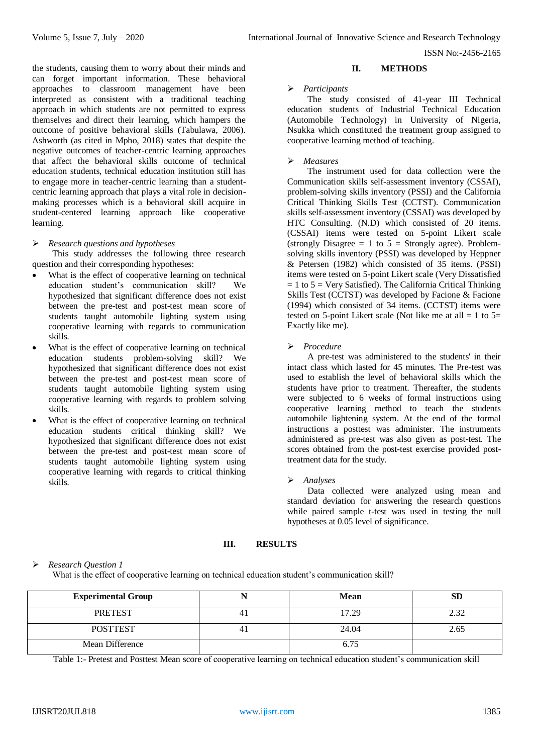the students, causing them to worry about their minds and can forget important information. These behavioral approaches to classroom management have been interpreted as consistent with a traditional teaching approach in which students are not permitted to express themselves and direct their learning, which hampers the outcome of positive behavioral skills (Tabulawa, 2006). Ashworth (as cited in Mpho, 2018) states that despite the negative outcomes of teacher-centric learning approaches that affect the behavioral skills outcome of technical education students, technical education institution still has to engage more in teacher-centric learning than a studentcentric learning approach that plays a vital role in decisionmaking processes which is a behavioral skill acquire in student-centered learning approach like cooperative learning.

#### *Research questions and hypotheses*

This study addresses the following three research question and their corresponding hypotheses:

- What is the effect of cooperative learning on technical education student's communication skill? We hypothesized that significant difference does not exist between the pre-test and post-test mean score of students taught automobile lighting system using cooperative learning with regards to communication skills.
- What is the effect of cooperative learning on technical education students problem-solving skill? We hypothesized that significant difference does not exist between the pre-test and post-test mean score of students taught automobile lighting system using cooperative learning with regards to problem solving skills.
- What is the effect of cooperative learning on technical education students critical thinking skill? We hypothesized that significant difference does not exist between the pre-test and post-test mean score of students taught automobile lighting system using cooperative learning with regards to critical thinking skills.

## **II. METHODS**

#### *Participants*

The study consisted of 41-year III Technical education students of Industrial Technical Education (Automobile Technology) in University of Nigeria, Nsukka which constituted the treatment group assigned to cooperative learning method of teaching.

#### *Measures*

The instrument used for data collection were the Communication skills self-assessment inventory (CSSAI), problem-solving skills inventory (PSSI) and the California Critical Thinking Skills Test (CCTST). Communication skills self-assessment inventory (CSSAI) was developed by HTC Consulting. (N.D) which consisted of 20 items. (CSSAI) items were tested on 5-point Likert scale (strongly Disagree  $= 1$  to  $5 =$  Strongly agree). Problemsolving skills inventory (PSSI) was developed by Heppner & Petersen (1982) which consisted of 35 items. (PSSI) items were tested on 5-point Likert scale (Very Dissatisfied  $= 1$  to  $5 =$  Very Satisfied). The California Critical Thinking Skills Test (CCTST) was developed by Facione & Facione (1994) which consisted of 34 items. (CCTST) items were tested on 5-point Likert scale (Not like me at all  $= 1$  to  $5=$ Exactly like me).

## *Procedure*

A pre-test was administered to the students' in their intact class which lasted for 45 minutes. The Pre-test was used to establish the level of behavioral skills which the students have prior to treatment. Thereafter, the students were subjected to 6 weeks of formal instructions using cooperative learning method to teach the students automobile lightening system. At the end of the formal instructions a posttest was administer. The instruments administered as pre-test was also given as post-test. The scores obtained from the post-test exercise provided posttreatment data for the study.

#### *Analyses*

Data collected were analyzed using mean and standard deviation for answering the research questions while paired sample t-test was used in testing the null hypotheses at 0.05 level of significance.

# **III. RESULTS**

# *Research Question 1*

What is the effect of cooperative learning on technical education student's communication skill?

| <b>Experimental Group</b> | <b>Mean</b> | SD   |
|---------------------------|-------------|------|
| <b>PRETEST</b>            | 17.29       |      |
| <b>POSTTEST</b>           | 24.04       | 2.65 |
| Mean Difference           | 6.75        |      |

Table 1:- Pretest and Posttest Mean score of cooperative learning on technical education student's communication skill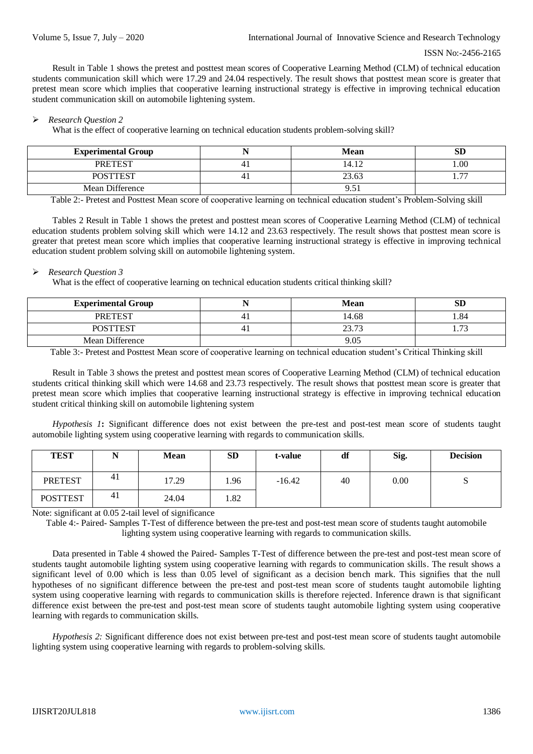Result in Table 1 shows the pretest and posttest mean scores of Cooperative Learning Method (CLM) of technical education students communication skill which were 17.29 and 24.04 respectively. The result shows that posttest mean score is greater that pretest mean score which implies that cooperative learning instructional strategy is effective in improving technical education student communication skill on automobile lightening system.

#### *Research Question 2*

What is the effect of cooperative learning on technical education students problem-solving skill?

| <b>Experimental Group</b> | <b>Mean</b> | эIJ                      |
|---------------------------|-------------|--------------------------|
| <b>PRETEST</b>            | 14.12       | $00$ .                   |
| <b>DOCTTECT</b>           | 23.63       | $\overline{\phantom{a}}$ |
| Mean Difference           | 95<br>7.JI  |                          |

Table 2:- Pretest and Posttest Mean score of cooperative learning on technical education student's Problem-Solving skill

Tables 2 Result in Table 1 shows the pretest and posttest mean scores of Cooperative Learning Method (CLM) of technical education students problem solving skill which were 14.12 and 23.63 respectively. The result shows that posttest mean score is greater that pretest mean score which implies that cooperative learning instructional strategy is effective in improving technical education student problem solving skill on automobile lightening system.

#### *Research Question 3*

What is the effect of cooperative learning on technical education students critical thinking skill?

| <b>Experimental Group</b> | <b>Mean</b> | SD  |
|---------------------------|-------------|-----|
| <b>PRETEST</b>            | 14.68       | .84 |
| <b>POSTTEST</b>           | 2272        |     |
| Mean Difference           | 9.05        |     |

Table 3:- Pretest and Posttest Mean score of cooperative learning on technical education student's Critical Thinking skill

Result in Table 3 shows the pretest and posttest mean scores of Cooperative Learning Method (CLM) of technical education students critical thinking skill which were 14.68 and 23.73 respectively. The result shows that posttest mean score is greater that pretest mean score which implies that cooperative learning instructional strategy is effective in improving technical education student critical thinking skill on automobile lightening system

*Hypothesis 1***:** Significant difference does not exist between the pre-test and post-test mean score of students taught automobile lighting system using cooperative learning with regards to communication skills.

| <b>TEST</b>     |    | <b>Mean</b> | <b>SD</b> | t-value  | df | Sig. | <b>Decision</b> |
|-----------------|----|-------------|-----------|----------|----|------|-----------------|
| <b>PRETEST</b>  | 41 | 17.29       | 1.96      | $-16.42$ | 40 | 0.00 |                 |
| <b>POSTTEST</b> | 41 | 24.04       | 1.82      |          |    |      |                 |

Note: significant at 0.05 2-tail level of significance

Table 4:- Paired- Samples T-Test of difference between the pre-test and post-test mean score of students taught automobile lighting system using cooperative learning with regards to communication skills.

Data presented in Table 4 showed the Paired- Samples T-Test of difference between the pre-test and post-test mean score of students taught automobile lighting system using cooperative learning with regards to communication skills. The result shows a significant level of 0.00 which is less than 0.05 level of significant as a decision bench mark. This signifies that the null hypotheses of no significant difference between the pre-test and post-test mean score of students taught automobile lighting system using cooperative learning with regards to communication skills is therefore rejected. Inference drawn is that significant difference exist between the pre-test and post-test mean score of students taught automobile lighting system using cooperative learning with regards to communication skills.

*Hypothesis 2:* Significant difference does not exist between pre-test and post-test mean score of students taught automobile lighting system using cooperative learning with regards to problem-solving skills.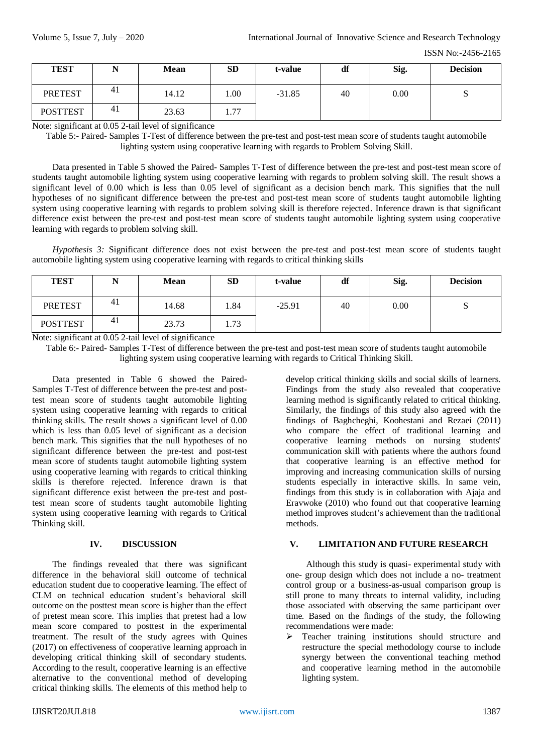| <b>TEST</b>     |                | <b>Mean</b> | <b>SD</b> | t-value  | df | Sig. | <b>Decision</b> |
|-----------------|----------------|-------------|-----------|----------|----|------|-----------------|
| <b>PRETEST</b>  | -41            | 14.12       | .00.      | $-31.85$ | 40 | 0.00 |                 |
| <b>POSTTEST</b> | 4 <sub>1</sub> | 23.63       | 1.77      |          |    |      |                 |

Note: significant at 0.05 2-tail level of significance

Table 5:- Paired- Samples T-Test of difference between the pre-test and post-test mean score of students taught automobile lighting system using cooperative learning with regards to Problem Solving Skill.

Data presented in Table 5 showed the Paired- Samples T-Test of difference between the pre-test and post-test mean score of students taught automobile lighting system using cooperative learning with regards to problem solving skill. The result shows a significant level of 0.00 which is less than 0.05 level of significant as a decision bench mark. This signifies that the null hypotheses of no significant difference between the pre-test and post-test mean score of students taught automobile lighting system using cooperative learning with regards to problem solving skill is therefore rejected. Inference drawn is that significant difference exist between the pre-test and post-test mean score of students taught automobile lighting system using cooperative learning with regards to problem solving skill.

*Hypothesis 3:* Significant difference does not exist between the pre-test and post-test mean score of students taught automobile lighting system using cooperative learning with regards to critical thinking skills

| <b>TEST</b>     | --  | <b>Mean</b> | SD   | t-value  | df | Sig. | <b>Decision</b> |
|-----------------|-----|-------------|------|----------|----|------|-----------------|
| <b>PRETEST</b>  | 41  | 14.68       | 1.84 | $-25.91$ | 40 | 0.00 | ັບ              |
| <b>POSTTEST</b> | -41 | 23.73       | 1.73 |          |    |      |                 |

Note: significant at 0.05 2-tail level of significance

Table 6:- Paired- Samples T-Test of difference between the pre-test and post-test mean score of students taught automobile lighting system using cooperative learning with regards to Critical Thinking Skill.

Data presented in Table 6 showed the Paired-Samples T-Test of difference between the pre-test and posttest mean score of students taught automobile lighting system using cooperative learning with regards to critical thinking skills. The result shows a significant level of 0.00 which is less than 0.05 level of significant as a decision bench mark. This signifies that the null hypotheses of no significant difference between the pre-test and post-test mean score of students taught automobile lighting system using cooperative learning with regards to critical thinking skills is therefore rejected. Inference drawn is that significant difference exist between the pre-test and posttest mean score of students taught automobile lighting system using cooperative learning with regards to Critical Thinking skill.

#### **IV. DISCUSSION**

The findings revealed that there was significant difference in the behavioral skill outcome of technical education student due to cooperative learning. The effect of CLM on technical education student's behavioral skill outcome on the posttest mean score is higher than the effect of pretest mean score. This implies that pretest had a low mean score compared to posttest in the experimental treatment. The result of the study agrees with Quines (2017) on effectiveness of cooperative learning approach in developing critical thinking skill of secondary students. According to the result, cooperative learning is an effective alternative to the conventional method of developing critical thinking skills. The elements of this method help to

develop critical thinking skills and social skills of learners. Findings from the study also revealed that cooperative learning method is significantly related to critical thinking. Similarly, the findings of this study also agreed with the findings of Baghcheghi, Koohestani and Rezaei (2011) who compare the effect of traditional learning and cooperative learning methods on nursing students' communication skill with patients where the authors found that cooperative learning is an effective method for improving and increasing communication skills of nursing students especially in interactive skills. In same vein, findings from this study is in collaboration with Ajaja and Eravwoke (2010) who found out that cooperative learning method improves student's achievement than the traditional methods.

# **V. LIMITATION AND FUTURE RESEARCH**

Although this study is quasi- experimental study with one- group design which does not include a no- treatment control group or a business-as-usual comparison group is still prone to many threats to internal validity, including those associated with observing the same participant over time. Based on the findings of the study, the following recommendations were made:

> Teacher training institutions should structure and restructure the special methodology course to include synergy between the conventional teaching method and cooperative learning method in the automobile lighting system.